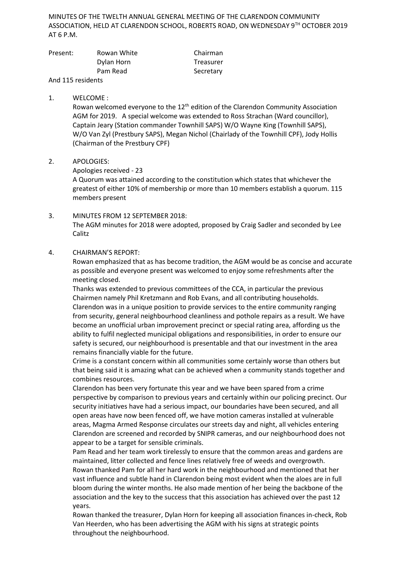MINUTES OF THE TWELTH ANNUAL GENERAL MEETING OF THE CLARENDON COMMUNITY ASSOCIATION, HELD AT CLARENDON SCHOOL, ROBERTS ROAD, ON WEDNESDAY 9TH OCTOBER 2019 AT 6 P.M.

| Present: | Rowan White | Chairman  |
|----------|-------------|-----------|
|          | Dylan Horn  | Treasurer |
|          | Pam Read    | Secretary |
|          |             |           |

And 115 residents

### 1. WELCOME :

Rowan welcomed everyone to the 12<sup>th</sup> edition of the Clarendon Community Association AGM for 2019. A special welcome was extended to Ross Strachan (Ward councillor), Captain Jeary (Station commander Townhill SAPS) W/O Wayne King (Townhill SAPS), W/O Van Zyl (Prestbury SAPS), Megan Nichol (Chairlady of the Townhill CPF), Jody Hollis (Chairman of the Prestbury CPF)

### 2. APOLOGIES:

### Apologies received - 23

A Quorum was attained according to the constitution which states that whichever the greatest of either 10% of membership or more than 10 members establish a quorum. 115 members present

3. MINUTES FROM 12 SEPTEMBER 2018: The AGM minutes for 2018 were adopted, proposed by Craig Sadler and seconded by Lee Calitz

### 4. CHAIRMAN'S REPORT:

Rowan emphasized that as has become tradition, the AGM would be as concise and accurate as possible and everyone present was welcomed to enjoy some refreshments after the meeting closed.

Thanks was extended to previous committees of the CCA, in particular the previous Chairmen namely Phil Kretzmann and Rob Evans, and all contributing households. Clarendon was in a unique position to provide services to the entire community ranging from security, general neighbourhood cleanliness and pothole repairs as a result. We have become an unofficial urban improvement precinct or special rating area, affording us the ability to fulfil neglected municipal obligations and responsibilities, in order to ensure our safety is secured, our neighbourhood is presentable and that our investment in the area remains financially viable for the future.

Crime is a constant concern within all communities some certainly worse than others but that being said it is amazing what can be achieved when a community stands together and combines resources.

Clarendon has been very fortunate this year and we have been spared from a crime perspective by comparison to previous years and certainly within our policing precinct. Our security initiatives have had a serious impact, our boundaries have been secured, and all open areas have now been fenced off, we have motion cameras installed at vulnerable areas, Magma Armed Response circulates our streets day and night, all vehicles entering Clarendon are screened and recorded by SNIPR cameras, and our neighbourhood does not appear to be a target for sensible criminals.

Pam Read and her team work tirelessly to ensure that the common areas and gardens are maintained, litter collected and fence lines relatively free of weeds and overgrowth. Rowan thanked Pam for all her hard work in the neighbourhood and mentioned that her vast influence and subtle hand in Clarendon being most evident when the aloes are in full bloom during the winter months. He also made mention of her being the backbone of the association and the key to the success that this association has achieved over the past 12 years.

Rowan thanked the treasurer, Dylan Horn for keeping all association finances in-check, Rob Van Heerden, who has been advertising the AGM with his signs at strategic points throughout the neighbourhood.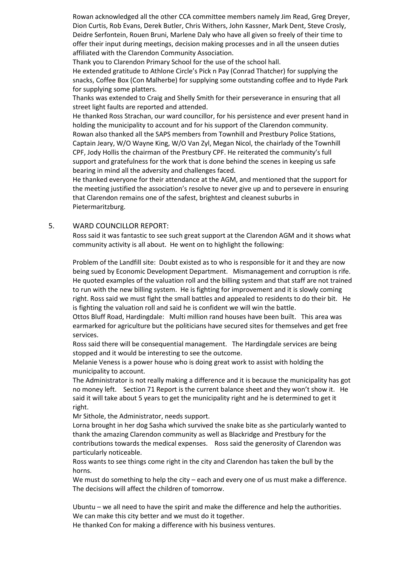Rowan acknowledged all the other CCA committee members namely Jim Read, Greg Dreyer, Dion Curtis, Rob Evans, Derek Butler, Chris Withers, John Kassner, Mark Dent, Steve Crosly, Deidre Serfontein, Rouen Bruni, Marlene Daly who have all given so freely of their time to offer their input during meetings, decision making processes and in all the unseen duties affiliated with the Clarendon Community Association.

Thank you to Clarendon Primary School for the use of the school hall.

He extended gratitude to Athlone Circle's Pick n Pay (Conrad Thatcher) for supplying the snacks, Coffee Box (Con Malherbe) for supplying some outstanding coffee and to Hyde Park for supplying some platters.

Thanks was extended to Craig and Shelly Smith for their perseverance in ensuring that all street light faults are reported and attended.

He thanked Ross Strachan, our ward councillor, for his persistence and ever present hand in holding the municipality to account and for his support of the Clarendon community. Rowan also thanked all the SAPS members from Townhill and Prestbury Police Stations, Captain Jeary, W/O Wayne King, W/O Van Zyl, Megan Nicol, the chairlady of the Townhill CPF, Jody Hollis the chairman of the Prestbury CPF. He reiterated the community's full support and gratefulness for the work that is done behind the scenes in keeping us safe bearing in mind all the adversity and challenges faced.

He thanked everyone for their attendance at the AGM, and mentioned that the support for the meeting justified the association's resolve to never give up and to persevere in ensuring that Clarendon remains one of the safest, brightest and cleanest suburbs in Pietermaritzburg.

# 5. WARD COUNCILLOR REPORT:

Ross said it was fantastic to see such great support at the Clarendon AGM and it shows what community activity is all about. He went on to highlight the following:

Problem of the Landfill site: Doubt existed as to who is responsible for it and they are now being sued by Economic Development Department. Mismanagement and corruption is rife. He quoted examples of the valuation roll and the billing system and that staff are not trained to run with the new billing system. He is fighting for improvement and it is slowly coming right. Ross said we must fight the small battles and appealed to residents to do their bit. He is fighting the valuation roll and said he is confident we will win the battle.

Ottos Bluff Road, Hardingdale: Multi million rand houses have been built. This area was earmarked for agriculture but the politicians have secured sites for themselves and get free services.

Ross said there will be consequential management. The Hardingdale services are being stopped and it would be interesting to see the outcome.

Melanie Veness is a power house who is doing great work to assist with holding the municipality to account.

The Administrator is not really making a difference and it is because the municipality has got no money left. Section 71 Report is the current balance sheet and they won't show it. He said it will take about 5 years to get the municipality right and he is determined to get it right.

Mr Sithole, the Administrator, needs support.

Lorna brought in her dog Sasha which survived the snake bite as she particularly wanted to thank the amazing Clarendon community as well as Blackridge and Prestbury for the contributions towards the medical expenses. Ross said the generosity of Clarendon was particularly noticeable.

Ross wants to see things come right in the city and Clarendon has taken the bull by the horns.

We must do something to help the city – each and every one of us must make a difference. The decisions will affect the children of tomorrow.

Ubuntu – we all need to have the spirit and make the difference and help the authorities. We can make this city better and we must do it together.

He thanked Con for making a difference with his business ventures.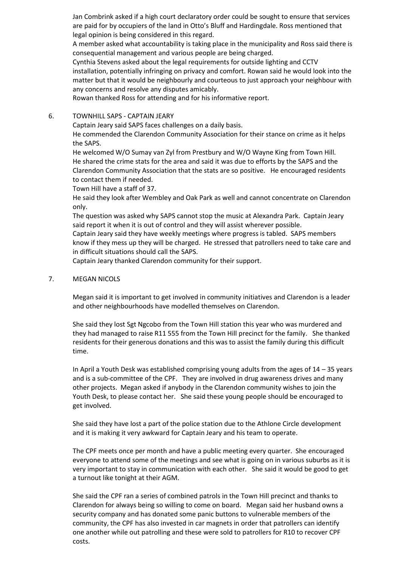Jan Combrink asked if a high court declaratory order could be sought to ensure that services are paid for by occupiers of the land in Otto's Bluff and Hardingdale. Ross mentioned that legal opinion is being considered in this regard.

A member asked what accountability is taking place in the municipality and Ross said there is consequential management and various people are being charged.

Cynthia Stevens asked about the legal requirements for outside lighting and CCTV installation, potentially infringing on privacy and comfort. Rowan said he would look into the matter but that it would be neighbourly and courteous to just approach your neighbour with any concerns and resolve any disputes amicably.

Rowan thanked Ross for attending and for his informative report.

6. TOWNHILL SAPS - CAPTAIN JEARY

Captain Jeary said SAPS faces challenges on a daily basis.

He commended the Clarendon Community Association for their stance on crime as it helps the SAPS.

He welcomed W/O Sumay van Zyl from Prestbury and W/O Wayne King from Town Hill. He shared the crime stats for the area and said it was due to efforts by the SAPS and the Clarendon Community Association that the stats are so positive. He encouraged residents to contact them if needed.

Town Hill have a staff of 37.

He said they look after Wembley and Oak Park as well and cannot concentrate on Clarendon only.

The question was asked why SAPS cannot stop the music at Alexandra Park. Captain Jeary said report it when it is out of control and they will assist wherever possible.

Captain Jeary said they have weekly meetings where progress is tabled. SAPS members know if they mess up they will be charged. He stressed that patrollers need to take care and in difficult situations should call the SAPS.

Captain Jeary thanked Clarendon community for their support.

7. MEGAN NICOLS

Megan said it is important to get involved in community initiatives and Clarendon is a leader and other neighbourhoods have modelled themselves on Clarendon.

She said they lost Sgt Ngcobo from the Town Hill station this year who was murdered and they had managed to raise R11 555 from the Town Hill precinct for the family. She thanked residents for their generous donations and this was to assist the family during this difficult time.

In April a Youth Desk was established comprising young adults from the ages of 14 – 35 years and is a sub-committee of the CPF. They are involved in drug awareness drives and many other projects. Megan asked if anybody in the Clarendon community wishes to join the Youth Desk, to please contact her. She said these young people should be encouraged to get involved.

She said they have lost a part of the police station due to the Athlone Circle development and it is making it very awkward for Captain Jeary and his team to operate.

The CPF meets once per month and have a public meeting every quarter. She encouraged everyone to attend some of the meetings and see what is going on in various suburbs as it is very important to stay in communication with each other. She said it would be good to get a turnout like tonight at their AGM.

She said the CPF ran a series of combined patrols in the Town Hill precinct and thanks to Clarendon for always being so willing to come on board. Megan said her husband owns a security company and has donated some panic buttons to vulnerable members of the community, the CPF has also invested in car magnets in order that patrollers can identify one another while out patrolling and these were sold to patrollers for R10 to recover CPF costs.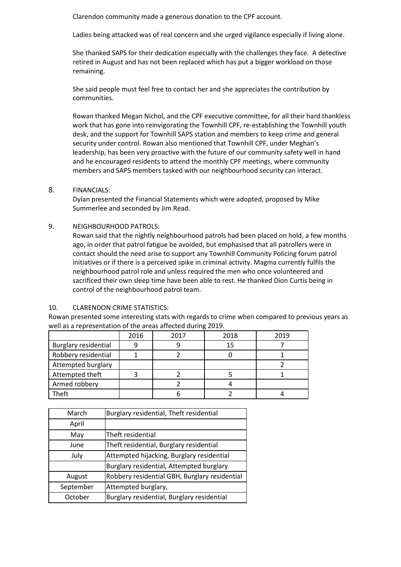Clarendon community made a generous donation to the CPF account.

Ladies being attacked was of real concern and she urged vigilance especially if living alone.

She thanked SAPS for their dedication especially with the challenges they face. A detective retired in August and has not been replaced which has put a bigger workload on those remaining.

She said people must feel free to contact her and she appreciates the contribution by communities.

Rowan thanked Megan Nichol, and the CPF executive committee, for all their hard thankless work that has gone into reinvigorating the Townhill CPF, re-establishing the Townhill youth desk, and the support for Townhill SAPS station and members to keep crime and general security under control. Rowan also mentioned that Townhill CPF, under Meghan's leadership, has been very proactive with the future of our community safety well in hand and he encouraged residents to attend the monthly CPF meetings, where community members and SAPS members tasked with our neighbourhood security can interact.

## 8. FINANCIALS:

Dylan presented the Financial Statements which were adopted, proposed by Mike Summerlee and seconded by Jim Read.

## 9. NEIGHBOURHOOD PATROLS:

Rowan said that the nightly neighbourhood patrols had been placed on hold, a few months ago, in order that patrol fatigue be avoided, but emphasised that all patrollers were in contact should the need arise to support any Townhill Community Policing forum patrol initiatives or if there is a perceived spike in criminal activity. Magma currently fulfils the neighbourhood patrol role and unless required the men who once volunteered and sacrificed their own sleep time have been able to rest. He thanked Dion Curtis being in control of the neighbourhood patrol team.

## 10. CLARENDON CRIME STATISTICS:

Rowan presented some interesting stats with regards to crime when compared to previous years as well as a representation of the areas affected during 2019.

|                             | 2016 | 2017 | 2018 | 2019 |
|-----------------------------|------|------|------|------|
| <b>Burglary residential</b> |      |      | 15   |      |
| Robbery residential         |      |      |      |      |
| Attempted burglary          |      |      |      |      |
| Attempted theft             |      |      |      |      |
| Armed robbery               |      |      |      |      |
| Theft                       |      |      |      |      |

| March     | Burglary residential, Theft residential       |
|-----------|-----------------------------------------------|
| April     |                                               |
| May       | Theft residential                             |
| June      | Theft residential, Burglary residential       |
| July      | Attempted hijacking, Burglary residential     |
|           | Burglary residential, Attempted burglary      |
| August    | Robbery residential GBH, Burglary residential |
| September | Attempted burglary,                           |
| October   | Burglary residential, Burglary residential    |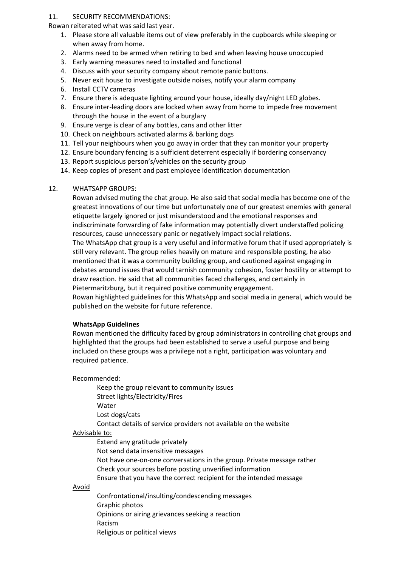### 11. SECURITY RECOMMENDATIONS:

Rowan reiterated what was said last year.

- 1. Please store all valuable items out of view preferably in the cupboards while sleeping or when away from home.
- 2. Alarms need to be armed when retiring to bed and when leaving house unoccupied
- 3. Early warning measures need to installed and functional
- 4. Discuss with your security company about remote panic buttons.
- 5. Never exit house to investigate outside noises, notify your alarm company
- 6. Install CCTV cameras
- 7. Ensure there is adequate lighting around your house, ideally day/night LED globes.
- 8. Ensure inter-leading doors are locked when away from home to impede free movement through the house in the event of a burglary
- 9. Ensure verge is clear of any bottles, cans and other litter
- 10. Check on neighbours activated alarms & barking dogs
- 11. Tell your neighbours when you go away in order that they can monitor your property
- 12. Ensure boundary fencing is a sufficient deterrent especially if bordering conservancy
- 13. Report suspicious person's/vehicles on the security group
- 14. Keep copies of present and past employee identification documentation

## 12. WHATSAPP GROUPS:

Rowan advised muting the chat group. He also said that social media has become one of the greatest innovations of our time but unfortunately one of our greatest enemies with general etiquette largely ignored or just misunderstood and the emotional responses and indiscriminate forwarding of fake information may potentially divert understaffed policing resources, cause unnecessary panic or negatively impact social relations. The WhatsApp chat group is a very useful and informative forum that if used appropriately is still very relevant. The group relies heavily on mature and responsible posting, he also mentioned that it was a community building group, and cautioned against engaging in debates around issues that would tarnish community cohesion, foster hostility or attempt to draw reaction. He said that all communities faced challenges, and certainly in Pietermaritzburg, but it required positive community engagement. Rowan highlighted guidelines for this WhatsApp and social media in general, which would be published on the website for future reference.

## **WhatsApp Guidelines**

Rowan mentioned the difficulty faced by group administrators in controlling chat groups and highlighted that the groups had been established to serve a useful purpose and being included on these groups was a privilege not a right, participation was voluntary and required patience.

## Recommended:

Keep the group relevant to community issues Street lights/Electricity/Fires Water Lost dogs/cats Contact details of service providers not available on the website

## Advisable to:

Extend any gratitude privately Not send data insensitive messages Not have one-on-one conversations in the group. Private message rather

- Check your sources before posting unverified information
- Ensure that you have the correct recipient for the intended message

#### Avoid

Confrontational/insulting/condescending messages Graphic photos Opinions or airing grievances seeking a reaction Racism Religious or political views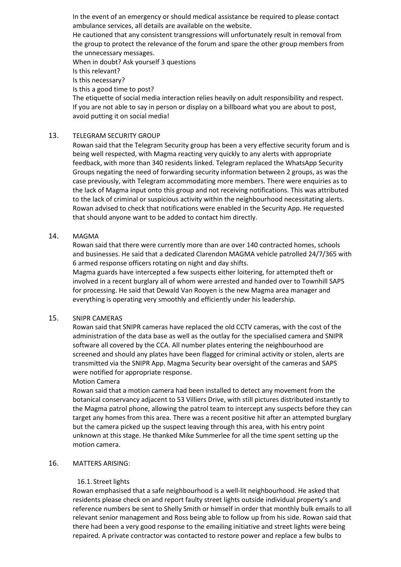In the event of an emergency or should medical assistance be required to please contact ambulance services, all details are available on the website.

He cautioned that any consistent transgressions will unfortunately result in removal from the group to protect the relevance of the forum and spare the other group members from the unnecessary messages.

When in doubt? Ask yourself 3 questions

Is this relevant?

Is this necessary?

Is this a good time to post?

The etiquette of social media interaction relies heavily on adult responsibility and respect. If you are not able to say in person or display on a billboard what you are about to post, avoid putting it on social media!

## 13. TELEGRAM SECURITY GROUP

Rowan said that the Telegram Security group has been a very effective security forum and is being well respected, with Magma reacting very quickly to any alerts with appropriate feedback, with more than 340 residents linked. Telegram replaced the WhatsApp Security Groups negating the need of forwarding security information between 2 groups, as was the case previously, with Telegram accommodating more members. There were enquiries as to the lack of Magma input onto this group and not receiving notifications. This was attributed to the lack of criminal or suspicious activity within the neighbourhood necessitating alerts. Rowan advised to check that notifications were enabled in the Security App. He requested that should anyone want to be added to contact him directly.

## 14. MAGMA

Rowan said that there were currently more than are over 140 contracted homes, schools and businesses. He said that a dedicated Clarendon MAGMA vehicle patrolled 24/7/365 with 6 armed response officers rotating on night and day shifts.

Magma guards have intercepted a few suspects either loitering, for attempted theft or involved in a recent burglary all of whom were arrested and handed over to Townhill SAPS for processing. He said that Dewald Van Rooyen is the new Magma area manager and everything is operating very smoothly and efficiently under his leadership.

## 15. SNIPR CAMERAS

Rowan said that SNIPR cameras have replaced the old CCTV cameras, with the cost of the administration of the data base as well as the outlay for the specialised camera and SNIPR software all covered by the CCA. All number plates entering the neighbourhood are screened and should any plates have been flagged for criminal activity or stolen, alerts are transmitted via the SNIPR App. Magma Security bear oversight of the cameras and SAPS were notified for appropriate response.

## Motion Camera

Rowan said that a motion camera had been installed to detect any movement from the botanical conservancy adjacent to 53 Villiers Drive, with still pictures distributed instantly to the Magma patrol phone, allowing the patrol team to intercept any suspects before they can target any homes from this area. There was a recent positive hit after an attempted burglary but the camera picked up the suspect leaving through this area, with his entry point unknown at this stage. He thanked Mike Summerlee for all the time spent setting up the motion camera.

## 16. MATTERS ARISING:

## 16.1. Street lights

Rowan emphasised that a safe neighbourhood is a well-lit neighbourhood. He asked that residents please check on and report faulty street lights outside individual property's and reference numbers be sent to Shelly Smith or himself in order that monthly bulk emails to all relevant senior management and Ross being able to follow up from his side. Rowan said that there had been a very good response to the emailing initiative and street lights were being repaired. A private contractor was contacted to restore power and replace a few bulbs to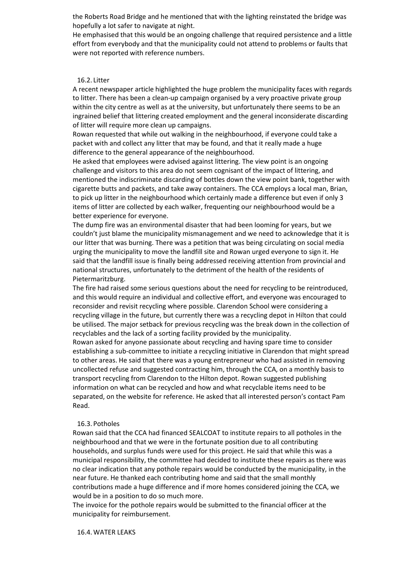the Roberts Road Bridge and he mentioned that with the lighting reinstated the bridge was hopefully a lot safer to navigate at night.

He emphasised that this would be an ongoing challenge that required persistence and a little effort from everybody and that the municipality could not attend to problems or faults that were not reported with reference numbers.

#### 16.2. Litter

A recent newspaper article highlighted the huge problem the municipality faces with regards to litter. There has been a clean-up campaign organised by a very proactive private group within the city centre as well as at the university, but unfortunately there seems to be an ingrained belief that littering created employment and the general inconsiderate discarding of litter will require more clean up campaigns.

Rowan requested that while out walking in the neighbourhood, if everyone could take a packet with and collect any litter that may be found, and that it really made a huge difference to the general appearance of the neighbourhood.

He asked that employees were advised against littering. The view point is an ongoing challenge and visitors to this area do not seem cognisant of the impact of littering, and mentioned the indiscriminate discarding of bottles down the view point bank, together with cigarette butts and packets, and take away containers. The CCA employs a local man, Brian, to pick up litter in the neighbourhood which certainly made a difference but even if only 3 items of litter are collected by each walker, frequenting our neighbourhood would be a better experience for everyone.

The dump fire was an environmental disaster that had been looming for years, but we couldn't just blame the municipality mismanagement and we need to acknowledge that it is our litter that was burning. There was a petition that was being circulating on social media urging the municipality to move the landfill site and Rowan urged everyone to sign it. He said that the landfill issue is finally being addressed receiving attention from provincial and national structures, unfortunately to the detriment of the health of the residents of Pietermaritzburg.

The fire had raised some serious questions about the need for recycling to be reintroduced, and this would require an individual and collective effort, and everyone was encouraged to reconsider and revisit recycling where possible. Clarendon School were considering a recycling village in the future, but currently there was a recycling depot in Hilton that could be utilised. The major setback for previous recycling was the break down in the collection of recyclables and the lack of a sorting facility provided by the municipality.

Rowan asked for anyone passionate about recycling and having spare time to consider establishing a sub-committee to initiate a recycling initiative in Clarendon that might spread to other areas. He said that there was a young entrepreneur who had assisted in removing uncollected refuse and suggested contracting him, through the CCA, on a monthly basis to transport recycling from Clarendon to the Hilton depot. Rowan suggested publishing information on what can be recycled and how and what recyclable items need to be separated, on the website for reference. He asked that all interested person's contact Pam Read.

#### 16.3. Potholes

Rowan said that the CCA had financed SEALCOAT to institute repairs to all potholes in the neighbourhood and that we were in the fortunate position due to all contributing households, and surplus funds were used for this project. He said that while this was a municipal responsibility, the committee had decided to institute these repairs as there was no clear indication that any pothole repairs would be conducted by the municipality, in the near future. He thanked each contributing home and said that the small monthly contributions made a huge difference and if more homes considered joining the CCA, we would be in a position to do so much more.

The invoice for the pothole repairs would be submitted to the financial officer at the municipality for reimbursement.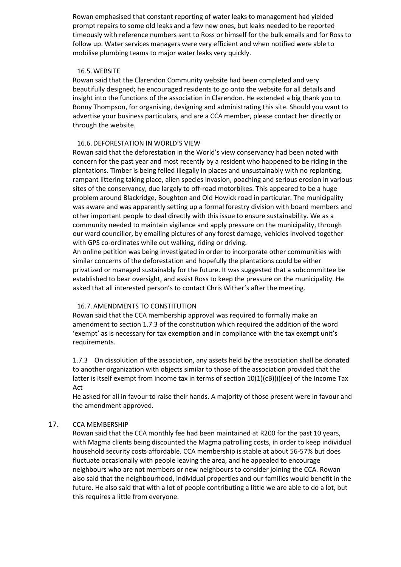Rowan emphasised that constant reporting of water leaks to management had yielded prompt repairs to some old leaks and a few new ones, but leaks needed to be reported timeously with reference numbers sent to Ross or himself for the bulk emails and for Ross to follow up. Water services managers were very efficient and when notified were able to mobilise plumbing teams to major water leaks very quickly.

#### 16.5.WEBSITE

Rowan said that the Clarendon Community website had been completed and very beautifully designed; he encouraged residents to go onto the website for all details and insight into the functions of the association in Clarendon. He extended a big thank you to Bonny Thompson, for organising, designing and administrating this site. Should you want to advertise your business particulars, and are a CCA member, please contact her directly or through the website.

### 16.6.DEFORESTATION IN WORLD'S VIEW

Rowan said that the deforestation in the World's view conservancy had been noted with concern for the past year and most recently by a resident who happened to be riding in the plantations. Timber is being felled illegally in places and unsustainably with no replanting, rampant littering taking place, alien species invasion, poaching and serious erosion in various sites of the conservancy, due largely to off-road motorbikes. This appeared to be a huge problem around Blackridge, Boughton and Old Howick road in particular. The municipality was aware and was apparently setting up a formal forestry division with board members and other important people to deal directly with this issue to ensure sustainability. We as a community needed to maintain vigilance and apply pressure on the municipality, through our ward councillor, by emailing pictures of any forest damage, vehicles involved together with GPS co-ordinates while out walking, riding or driving.

An online petition was being investigated in order to incorporate other communities with similar concerns of the deforestation and hopefully the plantations could be either privatized or managed sustainably for the future. It was suggested that a subcommittee be established to bear oversight, and assist Ross to keep the pressure on the municipality. He asked that all interested person's to contact Chris Wither's after the meeting.

## 16.7.AMENDMENTS TO CONSTITUTION

Rowan said that the CCA membership approval was required to formally make an amendment to section 1.7.3 of the constitution which required the addition of the word 'exempt' as is necessary for tax exemption and in compliance with the tax exempt unit's requirements.

1.7.3 On dissolution of the association, any assets held by the association shall be donated to another organization with objects similar to those of the association provided that the latter is itself exempt from income tax in terms of section  $10(1)(cB)(i)(ee)$  of the Income Tax Act

He asked for all in favour to raise their hands. A majority of those present were in favour and the amendment approved.

## 17. CCA MEMBERSHIP

Rowan said that the CCA monthly fee had been maintained at R200 for the past 10 years, with Magma clients being discounted the Magma patrolling costs, in order to keep individual household security costs affordable. CCA membership is stable at about 56-57% but does fluctuate occasionally with people leaving the area, and he appealed to encourage neighbours who are not members or new neighbours to consider joining the CCA. Rowan also said that the neighbourhood, individual properties and our families would benefit in the future. He also said that with a lot of people contributing a little we are able to do a lot, but this requires a little from everyone.